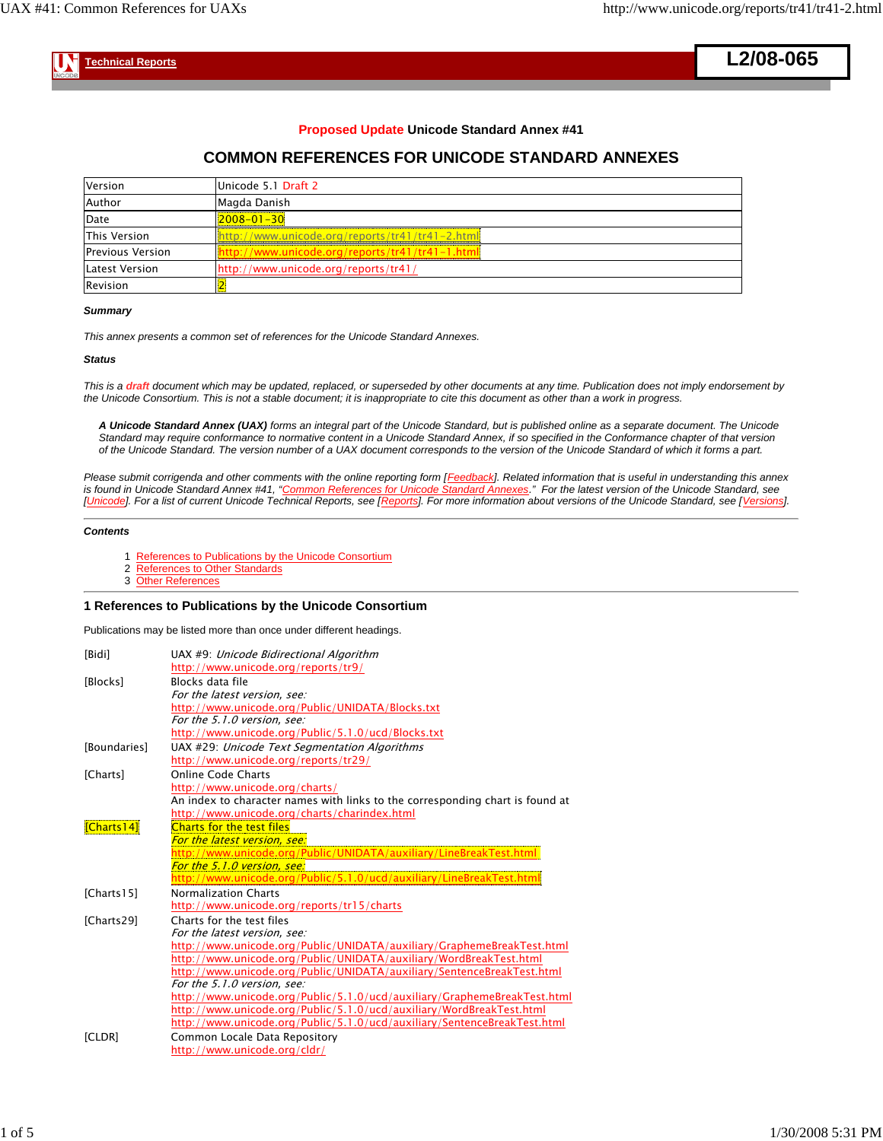**L2/08-065**

 **Technical Reports**

### **Proposed Update Unicode Standard Annex #41**

# **COMMON REFERENCES FOR UNICODE STANDARD ANNEXES**

| Version                 | Unicode 5.1 Draft 2                              |
|-------------------------|--------------------------------------------------|
| Author                  | Magda Danish                                     |
| Date                    | $2008 - 01 - 30$                                 |
| This Version            | http://www.unicode.org/reports/tr41/tr41-2.html  |
| <b>Previous Version</b> | lhttp://www.unicode.org/reports/tr41/tr41-1.html |
| Latest Version          | http://www.unicode.org/reports/tr41/             |
| <b>Revision</b>         |                                                  |

#### *Summary*

*This annex presents a common set of references for the Unicode Standard Annexes.*

#### *Status*

*This is a draft document which may be updated, replaced, or superseded by other documents at any time. Publication does not imply endorsement by the Unicode Consortium. This is not a stable document; it is inappropriate to cite this document as other than a work in progress.*

*A Unicode Standard Annex (UAX) forms an integral part of the Unicode Standard, but is published online as a separate document. The Unicode Standard may require conformance to normative content in a Unicode Standard Annex, if so specified in the Conformance chapter of that version of the Unicode Standard. The version number of a UAX document corresponds to the version of the Unicode Standard of which it forms a part.*

*Please submit corrigenda and other comments with the online reporting form [Feedback]. Related information that is useful in understanding this annex is found in Unicode Standard Annex #41, "Common References for Unicode Standard Annexes." For the latest version of the Unicode Standard, see [Unicode]. For a list of current Unicode Technical Reports, see [Reports]. For more information about versions of the Unicode Standard, see [Versions].*

#### *Contents*

- 1 References to Publications by the Unicode Consortium
- 2 References to Other Standards
- 3 Other References

#### **1 References to Publications by the Unicode Consortium**

Publications may be listed more than once under different headings.

| [Bidi]       | UAX #9: Unicode Bidirectional Algorithm<br>http://www.unicode.org/reports/tr9/ |
|--------------|--------------------------------------------------------------------------------|
| [Blocks]     | Blocks data file                                                               |
|              | For the latest version, see:                                                   |
|              | http://www.unicode.org/Public/UNIDATA/Blocks.txt                               |
|              | For the 5.1.0 version, see:                                                    |
|              | http://www.unicode.org/Public/5.1.0/ucd/Blocks.txt                             |
| [Boundaries] | UAX #29: Unicode Text Segmentation Algorithms                                  |
|              | http://www.unicode.org/reports/tr29/                                           |
| [Charts]     | <b>Online Code Charts</b>                                                      |
|              | http://www.unicode.org/charts/                                                 |
|              | An index to character names with links to the corresponding chart is found at  |
|              | http://www.unicode.org/charts/charindex.html                                   |
| [Charts14]   | Charts for the test files                                                      |
|              | For the latest version, see:                                                   |
|              | http://www.unicode.org/Public/UNIDATA/auxiliary/LineBreakTest.html             |
|              | For the 5.1.0 version, see:                                                    |
|              | http://www.unicode.org/Public/5.1.0/ucd/auxiliary/LineBreakTest.html           |
| [Charts15]   | <b>Normalization Charts</b>                                                    |
|              | http://www.unicode.org/reports/tr15/charts                                     |
| [Charts29]   | Charts for the test files                                                      |
|              | For the latest version, see:                                                   |
|              | http://www.unicode.org/Public/UNIDATA/auxiliary/GraphemeBreakTest.html         |
|              | http://www.unicode.org/Public/UNIDATA/auxiliary/WordBreakTest.html             |
|              | http://www.unicode.org/Public/UNIDATA/auxiliary/SentenceBreakTest.html         |
|              | For the 5.1.0 version, see:                                                    |
|              | http://www.unicode.org/Public/5.1.0/ucd/auxiliary/GraphemeBreakTest.html       |
|              | http://www.unicode.org/Public/5.1.0/ucd/auxiliary/WordBreakTest.html           |
|              | http://www.unicode.org/Public/5.1.0/ucd/auxiliary/SentenceBreakTest.html       |
| [CLDR]       | Common Locale Data Repository                                                  |
|              | http://www.unicode.org/cldr/                                                   |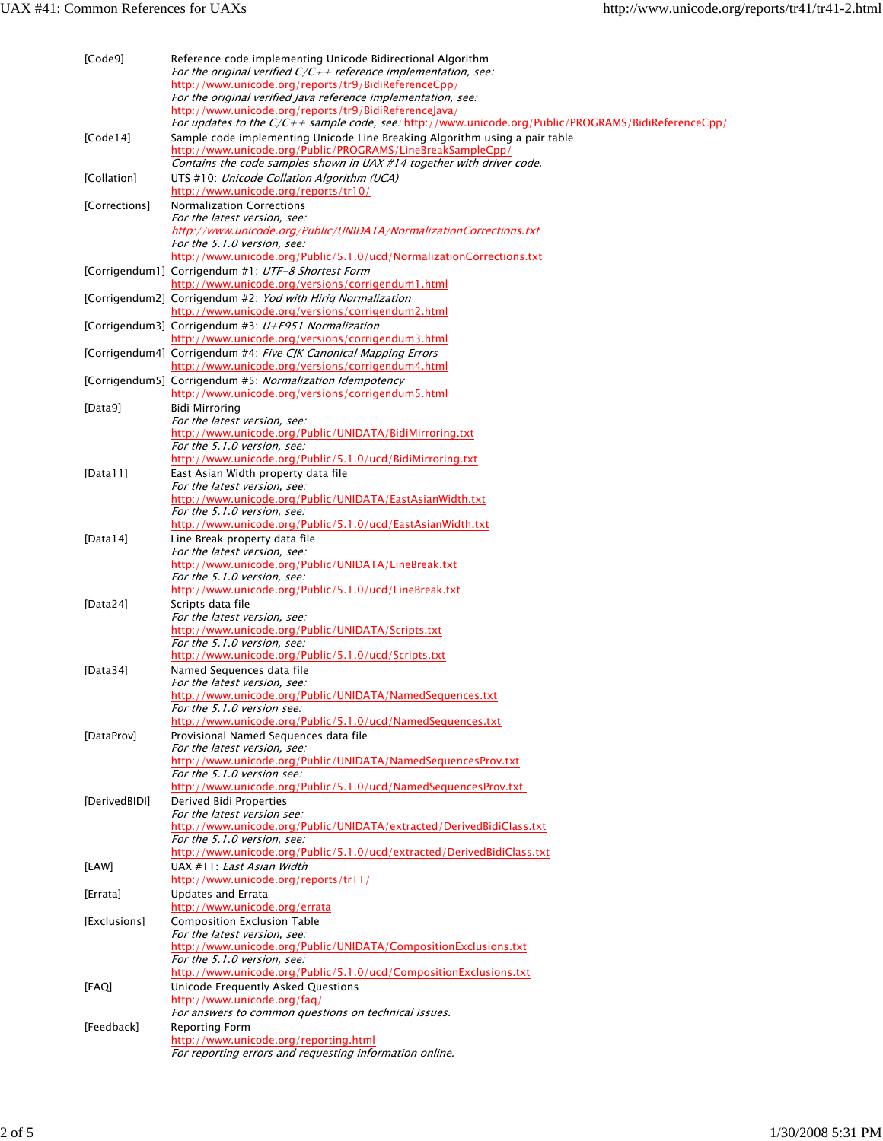| [Code9]       | Reference code implementing Unicode Bidirectional Algorithm<br>For the original verified $C/C++$ reference implementation, see:<br>http://www.unicode.org/reports/tr9/BidiReferenceCpp/<br>For the original verified Java reference implementation, see: |
|---------------|----------------------------------------------------------------------------------------------------------------------------------------------------------------------------------------------------------------------------------------------------------|
|               | http://www.unicode.org/reports/tr9/BidiReferenceJava/                                                                                                                                                                                                    |
| [Code14]      | For updates to the $C/C++$ sample code, see: http://www.unicode.org/Public/PROGRAMS/BidiReferenceCpp/<br>Sample code implementing Unicode Line Breaking Algorithm using a pair table<br>http://www.unicode.org/Public/PROGRAMS/LineBreakSampleCpp/       |
| [Collation]   | Contains the code samples shown in UAX #14 together with driver code.<br>UTS #10: Unicode Collation Algorithm (UCA)<br>http://www.unicode.org/reports/tr10/                                                                                              |
| [Corrections] | Normalization Corrections                                                                                                                                                                                                                                |
|               | For the latest version, see:                                                                                                                                                                                                                             |
|               | http://www.unicode.org/Public/UNIDATA/NormalizationCorrections.txt<br>For the 5.1.0 version, see:                                                                                                                                                        |
|               | http://www.unicode.org/Public/5.1.0/ucd/NormalizationCorrections.txt                                                                                                                                                                                     |
|               | [Corrigendum1] Corrigendum #1: UTF-8 Shortest Form<br>http://www.unicode.org/versions/corrigendum1.html                                                                                                                                                  |
|               | [Corrigendum2] Corrigendum #2: <i>Yod with Hirig Normalization</i><br>http://www.unicode.org/versions/corrigendum2.html                                                                                                                                  |
|               | [Corrigendum3] Corrigendum #3: $U + F951$ Normalization                                                                                                                                                                                                  |
|               | http://www.unicode.org/versions/corrigendum3.html                                                                                                                                                                                                        |
|               | [Corrigendum4] Corrigendum #4: Five CJK Canonical Mapping Errors<br>http://www.unicode.org/versions/corrigendum4.html                                                                                                                                    |
|               | [Corrigendum5] Corrigendum #5: Normalization Idempotency                                                                                                                                                                                                 |
|               | http://www.unicode.org/versions/corrigendum5.html                                                                                                                                                                                                        |
| [Data9]       | Bidi Mirroring                                                                                                                                                                                                                                           |
|               | For the latest version, see:<br>http://www.unicode.org/Public/UNIDATA/BidiMirroring.txt                                                                                                                                                                  |
|               | For the 5.1.0 version, see:                                                                                                                                                                                                                              |
|               | http://www.unicode.org/Public/5.1.0/ucd/BidiMirroring.txt                                                                                                                                                                                                |
| [Data $11$ ]  | East Asian Width property data file<br>For the latest version, see:                                                                                                                                                                                      |
|               | http://www.unicode.org/Public/UNIDATA/EastAsianWidth.txt                                                                                                                                                                                                 |
|               | For the 5.1.0 version, see:                                                                                                                                                                                                                              |
| [Data $14$ ]  | http://www.unicode.org/Public/5.1.0/ucd/EastAsianWidth.txt<br>Line Break property data file                                                                                                                                                              |
|               | For the latest version, see:                                                                                                                                                                                                                             |
|               | http://www.unicode.org/Public/UNIDATA/LineBreak.txt                                                                                                                                                                                                      |
|               | For the 5.1.0 version, see:<br>http://www.unicode.org/Public/5.1.0/ucd/LineBreak.txt                                                                                                                                                                     |
| [Data24]      | Scripts data file                                                                                                                                                                                                                                        |
|               | For the latest version, see:                                                                                                                                                                                                                             |
|               | http://www.unicode.org/Public/UNIDATA/Scripts.txt<br>For the 5.1.0 version, see:                                                                                                                                                                         |
|               | http://www.unicode.org/Public/5.1.0/ucd/Scripts.txt                                                                                                                                                                                                      |
| [Data34]      | Named Sequences data file                                                                                                                                                                                                                                |
|               | For the latest version, see:<br>http://www.unicode.org/Public/UNIDATA/NamedSequences.txt                                                                                                                                                                 |
|               | For the 5.1.0 version see:                                                                                                                                                                                                                               |
|               | http://www.unicode.org/Public/5.1.0/ucd/NamedSequences.txt                                                                                                                                                                                               |
| [DataProv]    | Provisional Named Sequences data file<br>For the latest version, see:                                                                                                                                                                                    |
|               | http://www.unicode.org/Public/UNIDATA/NamedSequencesProv.txt                                                                                                                                                                                             |
|               | For the 5.1.0 version see:<br>http://www.unicode.org/Public/5.1.0/ucd/NamedSequencesProv.txt                                                                                                                                                             |
| [DerivedBIDI] | Derived Bidi Properties                                                                                                                                                                                                                                  |
|               | For the latest version see:                                                                                                                                                                                                                              |
|               | http://www.unicode.org/Public/UNIDATA/extracted/DerivedBidiClass.txt<br>For the 5.1.0 version, see:                                                                                                                                                      |
|               | http://www.unicode.org/Public/5.1.0/ucd/extracted/DerivedBidiClass.txt                                                                                                                                                                                   |
| [EAW]         | UAX #11: East Asian Width                                                                                                                                                                                                                                |
|               | http://www.unicode.org/reports/tr11/                                                                                                                                                                                                                     |
| [Errata]      | Updates and Errata<br>http://www.unicode.org/errata                                                                                                                                                                                                      |
| [Exclusions]  | <b>Composition Exclusion Table</b>                                                                                                                                                                                                                       |
|               | For the latest version, see:                                                                                                                                                                                                                             |
|               | http://www.unicode.org/Public/UNIDATA/CompositionExclusions.txt<br>For the 5.1.0 version, see:                                                                                                                                                           |
|               | http://www.unicode.org/Public/5.1.0/ucd/CompositionExclusions.txt                                                                                                                                                                                        |
| [FAQ]         | Unicode Frequently Asked Questions                                                                                                                                                                                                                       |
|               | http://www.unicode.org/faq/<br>For answers to common questions on technical issues.                                                                                                                                                                      |
| [Feedback]    | Reporting Form                                                                                                                                                                                                                                           |
|               | http://www.unicode.org/reporting.html                                                                                                                                                                                                                    |
|               | For reporting errors and requesting information online.                                                                                                                                                                                                  |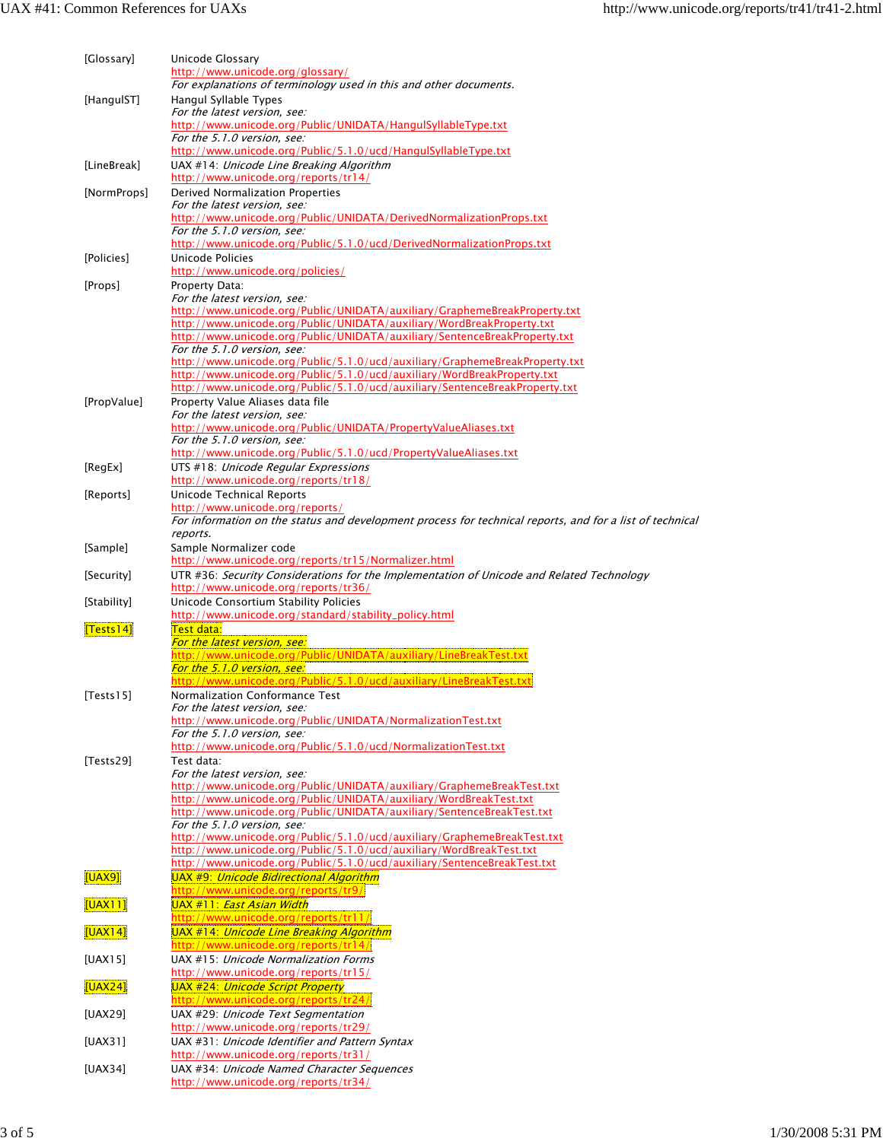| [Glossary]  | Unicode Glossary<br>http://www.unicode.org/glossary/<br>For explanations of terminology used in this and other documents.                              |
|-------------|--------------------------------------------------------------------------------------------------------------------------------------------------------|
| [HangulST]  | Hangul Syllable Types                                                                                                                                  |
|             | For the latest version, see:<br>http://www.unicode.org/Public/UNIDATA/HangulSyllableType.txt<br>For the 5.1.0 version, see:                            |
|             | http://www.unicode.org/Public/5.1.0/ucd/HangulSyllableType.txt                                                                                         |
| [LineBreak] | UAX #14: Unicode Line Breaking Algorithm<br>http://www.unicode.org/reports/tr14/                                                                       |
| [NormProps] | Derived Normalization Properties                                                                                                                       |
|             | For the latest version, see:<br>http://www.unicode.org/Public/UNIDATA/DerivedNormalizationProps.txt                                                    |
|             | For the 5.1.0 version, see:                                                                                                                            |
| [Policies]  | http://www.unicode.org/Public/5.1.0/ucd/DerivedNormalizationProps.txt<br>Unicode Policies                                                              |
|             | http://www.unicode.org/policies/                                                                                                                       |
| [Props]     | Property Data:<br>For the latest version, see:                                                                                                         |
|             | http://www.unicode.org/Public/UNIDATA/auxiliary/GraphemeBreakProperty.txt                                                                              |
|             | http://www.unicode.org/Public/UNIDATA/auxiliary/WordBreakProperty.txt                                                                                  |
|             | http://www.unicode.org/Public/UNIDATA/auxiliary/SentenceBreakProperty.txt<br>For the 5.1.0 version, see:                                               |
|             | http://www.unicode.org/Public/5.1.0/ucd/auxiliary/GraphemeBreakProperty.txt<br>http://www.unicode.org/Public/5.1.0/ucd/auxiliary/WordBreakProperty.txt |
|             | http://www.unicode.org/Public/5.1.0/ucd/auxiliary/SentenceBreakProperty.txt                                                                            |
| [PropValue] | Property Value Aliases data file<br>For the latest version, see:                                                                                       |
|             | http://www.unicode.org/Public/UNIDATA/PropertyValueAliases.txt                                                                                         |
|             | For the 5.1.0 version, see:                                                                                                                            |
| [RegEx]     | http://www.unicode.org/Public/5.1.0/ucd/PropertyValueAliases.txt<br>UTS #18: Unicode Regular Expressions                                               |
|             | http://www.unicode.org/reports/tr18/                                                                                                                   |
| [Reports]   | Unicode Technical Reports<br>http://www.unicode.org/reports/                                                                                           |
|             | For information on the status and development process for technical reports, and for a list of technical                                               |
| [Sample]    | reports.<br>Sample Normalizer code                                                                                                                     |
|             | http://www.unicode.org/reports/tr15/Normalizer.html                                                                                                    |
| [Security]  | UTR #36: Security Considerations for the Implementation of Unicode and Related Technology<br>http://www.unicode.org/reports/tr36/                      |
| [Stability] | Unicode Consortium Stability Policies                                                                                                                  |
|             | http://www.unicode.org/standard/stability_policy.html                                                                                                  |
| [Tests14]   | Test data:<br>For the latest version, see:                                                                                                             |
|             | http://www.unicode.org/Public/UNIDATA/auxiliary/LineBreakTest.txt                                                                                      |
|             | For the 5.1.0 version, see:<br>http://www.unicode.org/Public/5.1.0/ucd/auxiliary/LineBreakTest.txt                                                     |
| $[Tests15]$ | Normalization Conformance Test                                                                                                                         |
|             | For the latest version, see:<br>http://www.unicode.org/Public/UNIDATA/NormalizationTest.txt                                                            |
|             | For the 5.1.0 version, see:                                                                                                                            |
| [Tests29]   | http://www.unicode.org/Public/5.1.0/ucd/NormalizationTest.txt<br>Test data:                                                                            |
|             | For the latest version, see:                                                                                                                           |
|             | http://www.unicode.org/Public/UNIDATA/auxiliary/GraphemeBreakTest.txt<br>http://www.unicode.org/Public/UNIDATA/auxiliary/WordBreakTest.txt             |
|             | http://www.unicode.org/Public/UNIDATA/auxiliary/SentenceBreakTest.txt                                                                                  |
|             | For the 5.1.0 version, see:<br>http://www.unicode.org/Public/5.1.0/ucd/auxiliary/GraphemeBreakTest.txt                                                 |
|             | http://www.unicode.org/Public/5.1.0/ucd/auxiliary/WordBreakTest.txt                                                                                    |
| [UAX9]      | http://www.unicode.org/Public/5.1.0/ucd/auxiliary/SentenceBreakTest.txt<br>UAX #9: Unicode Bidirectional Algorithm                                     |
|             | http://www.unicode.org/reports/tr9/                                                                                                                    |
| [UAX11]     | <u> UAX #11: <i>East Asian Width</i></u><br>http://www.unicode.org/reports/tr11/                                                                       |
| [UAX14]     | <u>UAX #14: Unicode Line Breaking Algorithm</u><br>http://www.unicode.org/reports/tr14/                                                                |
| [UAX15]     | UAX #15: Unicode Normalization Forms                                                                                                                   |
| [UAX24]     | http://www.unicode.org/reports/tr15/<br>UAX #24: Unicode Script Property                                                                               |
|             | http://www.unicode.org/reports/tr24/                                                                                                                   |
| [UAX29]     | UAX #29: Unicode Text Segmentation<br>http://www.unicode.org/reports/tr29/                                                                             |
| [UAX31]     | UAX #31: Unicode Identifier and Pattern Syntax                                                                                                         |
|             | http://www.unicode.org/reports/tr31/                                                                                                                   |
| [UAX34]     | UAX #34: Unicode Named Character Sequences<br>http://www.unicode.org/reports/tr34/                                                                     |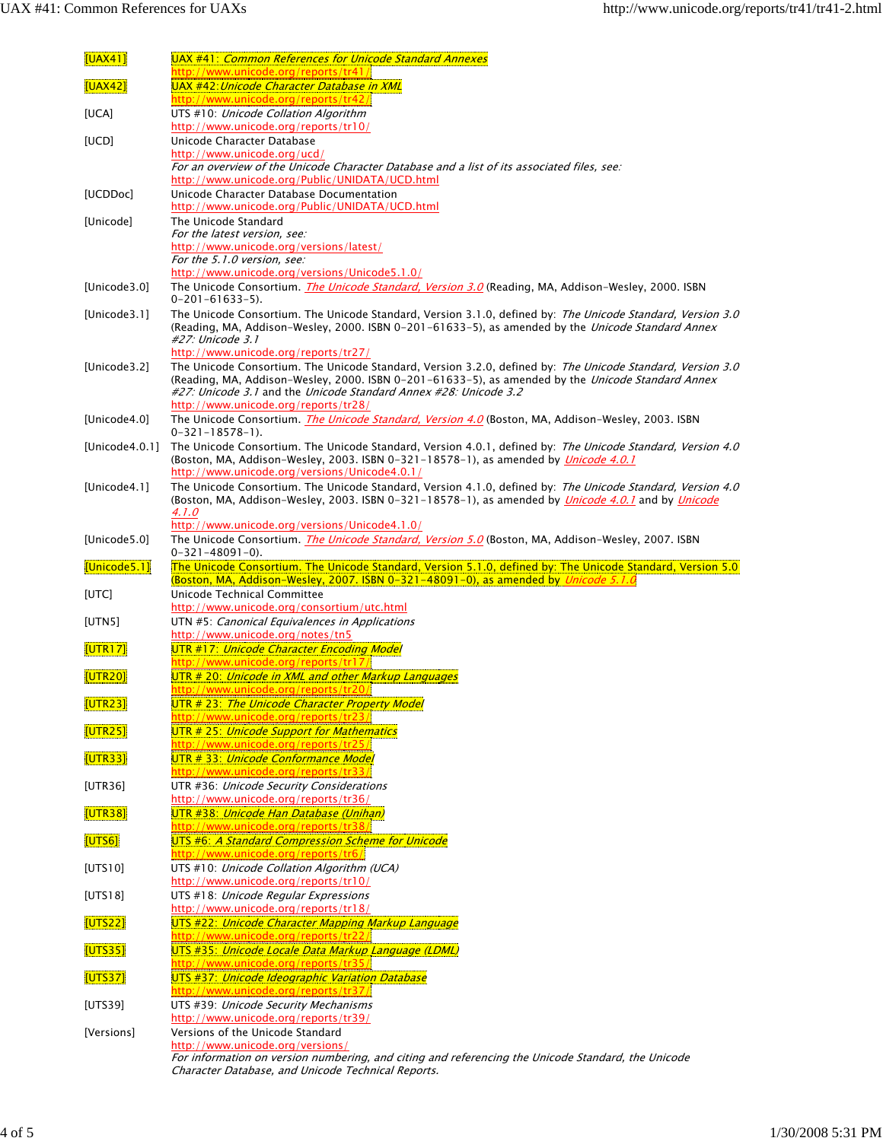| <u>[UAX41]</u>     | UAX #41: Common References for Unicode Standard Annexes<br>http://www.unicode.org/reports/tr41/                                                                                                                                                                                                                                                                            |
|--------------------|----------------------------------------------------------------------------------------------------------------------------------------------------------------------------------------------------------------------------------------------------------------------------------------------------------------------------------------------------------------------------|
| [UAX42]            | UAX #42: Unicode Character Database in XML<br>http://www.unicode.org/reports/tr42/                                                                                                                                                                                                                                                                                         |
| [UCA]              | UTS #10: Unicode Collation Algorithm<br>http://www.unicode.org/reports/tr10/                                                                                                                                                                                                                                                                                               |
| [UCD]              | Unicode Character Database<br>http://www.unicode.org/ucd/                                                                                                                                                                                                                                                                                                                  |
|                    | For an overview of the Unicode Character Database and a list of its associated files, see:                                                                                                                                                                                                                                                                                 |
| [UCDDoc]           | http://www.unicode.org/Public/UNIDATA/UCD.html<br>Unicode Character Database Documentation                                                                                                                                                                                                                                                                                 |
| [Unicode]          | http://www.unicode.org/Public/UNIDATA/UCD.html<br>The Unicode Standard                                                                                                                                                                                                                                                                                                     |
|                    | For the latest version, see:<br>http://www.unicode.org/versions/latest/                                                                                                                                                                                                                                                                                                    |
|                    | For the 5.1.0 version, see:<br>http://www.unicode.org/versions/Unicode5.1.0/                                                                                                                                                                                                                                                                                               |
| [Unicode3.0]       | The Unicode Consortium. <i>The Unicode Standard, Version 3.0</i> (Reading, MA, Addison-Wesley, 2000. ISBN<br>$0 - 201 - 61633 - 5$ .                                                                                                                                                                                                                                       |
| [Unicode3.1]       | The Unicode Consortium. The Unicode Standard, Version 3.1.0, defined by: The Unicode Standard, Version 3.0<br>(Reading, MA, Addison-Wesley, 2000. ISBN 0-201-61633-5), as amended by the <i>Unicode Standard Annex</i><br>#27: Unicode 3.1                                                                                                                                 |
| [Unicode3.2]       | http://www.unicode.org/reports/tr27/<br>The Unicode Consortium. The Unicode Standard, Version 3.2.0, defined by: The Unicode Standard, Version 3.0<br>(Reading, MA, Addison-Wesley, 2000. ISBN 0-201-61633-5), as amended by the <i>Unicode Standard Annex</i><br>#27: Unicode 3.1 and the Unicode Standard Annex #28: Unicode 3.2<br>http://www.unicode.org/reports/tr28/ |
| [Unicode4.0]       | The Unicode Consortium. The Unicode Standard, Version 4.0 (Boston, MA, Addison-Wesley, 2003. ISBN<br>$0 - 321 - 18578 - 1$ .                                                                                                                                                                                                                                               |
| [Unicode $4.0.1$ ] | The Unicode Consortium. The Unicode Standard, Version 4.0.1, defined by: The Unicode Standard, Version 4.0<br>(Boston, MA, Addison-Wesley, 2003. ISBN 0-321-18578-1), as amended by <i>Unicode 4.0.1</i><br>http://www.unicode.org/versions/Unicode4.0.1/                                                                                                                  |
| [Unicode4.1]       | The Unicode Consortium. The Unicode Standard, Version 4.1.0, defined by: The Unicode Standard, Version 4.0<br>(Boston, MA, Addison-Wesley, 2003. ISBN 0-321-18578-1), as amended by <i>Unicode 4.0.1</i> and by <i>Unicode</i><br>4.1.0                                                                                                                                    |
| [Unicode5.0]       | http://www.unicode.org/versions/Unicode4.1.0/<br>The Unicode Consortium. The Unicode Standard, Version 5.0 (Boston, MA, Addison-Wesley, 2007. ISBN<br>$0 - 321 - 48091 - 0$ .                                                                                                                                                                                              |
|                    |                                                                                                                                                                                                                                                                                                                                                                            |
| [Unicode5.1]       | The Unicode Consortium. The Unicode Standard, Version 5.1.0, defined by: The Unicode Standard, Version 5.0                                                                                                                                                                                                                                                                 |
| [UTC]              | (Boston, MA, Addison-Wesley, 2007. ISBN 0-321-48091-0), as amended by <i>Unicode 5.1.0</i><br>Unicode Technical Committee                                                                                                                                                                                                                                                  |
| [UTN5]             | http://www.unicode.org/consortium/utc.html<br>UTN #5: Canonical Equivalences in Applications                                                                                                                                                                                                                                                                               |
| [UTR17]            | http://www.unicode.org/notes/tn5<br>UTR #17: Unicode Character Encoding Model                                                                                                                                                                                                                                                                                              |
| [UTR20]            | http://www.unicode.org/reports/tr17,<br>UTR # 20: Unicode in XML and other Markup Languages                                                                                                                                                                                                                                                                                |
| [UTR23]            | http://www.unicode.org/reports/tr20/<br><b>ministro e contro como e contro e con el contro de la controla de la controla de la controla de la controla de</b><br>UTR # 23: The Unicode Character Property Model                                                                                                                                                            |
| [UTR25]            | <u> http://www.unicode.org/reports/tr23,</u><br>UTR # 25: Unicode Support for Mathematics                                                                                                                                                                                                                                                                                  |
| [UTR33]            | http://www.unicode.org/reports/tr25/<br>UTR # 33: Unicode Conformance Model                                                                                                                                                                                                                                                                                                |
| [UTR36]            | http://www.unicode.org/reports/tr33/<br>UTR #36: Unicode Security Considerations                                                                                                                                                                                                                                                                                           |
| [UTR38]            | http://www.unicode.org/reports/tr36/<br>UTR #38: Unicode Han Database (Unihan)                                                                                                                                                                                                                                                                                             |
| <b>UTS61</b>       | http://www.unicode.org/reports/tr38/<br>UTS #6: A Standard Compression Scheme for Unicode                                                                                                                                                                                                                                                                                  |
| [UTS10]            | http://www.unicode.org/reports/tr6/<br>UTS #10: Unicode Collation Algorithm (UCA)                                                                                                                                                                                                                                                                                          |
| [UTS18]            | http://www.unicode.org/reports/tr10/<br>UTS #18: Unicode Regular Expressions                                                                                                                                                                                                                                                                                               |
| [UTS22]            | http://www.unicode.org/reports/tr18/<br>UTS #22: Unicode Character Mapping Markup Language                                                                                                                                                                                                                                                                                 |
| [UTS35]            | http://www.unicode.org/reports/tr22/<br><u> UTS #35: Unicode Locale Data Markup Language (LDML)</u>                                                                                                                                                                                                                                                                        |
| [UTS37]            | http://www.unicode.org/reports/tr35/<br>UTS #37: Unicode Ideographic Variation Database                                                                                                                                                                                                                                                                                    |
| [UTS39]            | http://www.unicode.org/reports/tr37/<br>UTS #39: Unicode Security Mechanisms                                                                                                                                                                                                                                                                                               |
| [Versions]         | http://www.unicode.org/reports/tr39/<br>Versions of the Unicode Standard                                                                                                                                                                                                                                                                                                   |

Character Database, and Unicode Technical Reports.